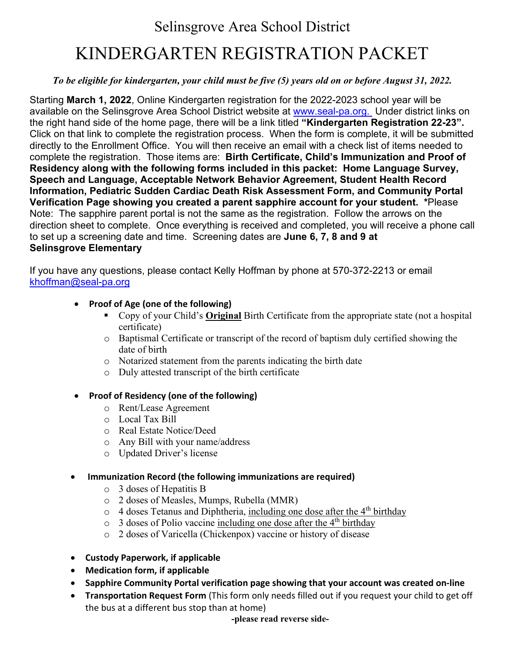# Selinsgrove Area School District

# KINDERGARTEN REGISTRATION PACKET

### *To be eligible for kindergarten, your child must be five (5) years old on or before August 31, 2022.*

Starting **March 1, 2022**, Online Kindergarten registration for the 2022-2023 school year will be available on the Selinsgrove Area School District website at [www.seal-pa.org.](http://www.seal-pa.org/) Under district links on the right hand side of the home page, there will be a link titled **"Kindergarten Registration 22-23".** Click on that link to complete the registration process. When the form is complete, it will be submitted directly to the Enrollment Office. You will then receive an email with a check list of items needed to complete the registration. Those items are: **Birth Certificate, Child's Immunization and Proof of Residency along with the following forms included in this packet: Home Language Survey, Speech and Language, Acceptable Network Behavior Agreement, Student Health Record Information, Pediatric Sudden Cardiac Death Risk Assessment Form, and Community Portal Verification Page showing you created a parent sapphire account for your student. \***Please Note: The sapphire parent portal is not the same as the registration. Follow the arrows on the direction sheet to complete. Once everything is received and completed, you will receive a phone call to set up a screening date and time. Screening dates are **June 6, 7, 8 and 9 at Selinsgrove Elementary**

If you have any questions, please contact Kelly Hoffman by phone at 570-372-2213 or email [khoffman@seal-pa.org](mailto:khoffman@seal-pa.org)

#### • **Proof of Age (one of the following)**

- Copy of your Child's **Original** Birth Certificate from the appropriate state (not a hospital certificate)
- o Baptismal Certificate or transcript of the record of baptism duly certified showing the date of birth
- o Notarized statement from the parents indicating the birth date
- o Duly attested transcript of the birth certificate

#### • **Proof of Residency (one of the following)**

- o Rent/Lease Agreement
- o Local Tax Bill
- o Real Estate Notice/Deed
- o Any Bill with your name/address
- o Updated Driver's license

#### • **Immunization Record (the following immunizations are required)**

- o 3 doses of Hepatitis B
- o 2 doses of Measles, Mumps, Rubella (MMR)
- $\circ$  4 doses Tetanus and Diphtheria, including one dose after the 4<sup>th</sup> birthday
- $\circ$  3 doses of Polio vaccine including one dose after the 4<sup>th</sup> birthday
- o 2 doses of Varicella (Chickenpox) vaccine or history of disease
- **Custody Paperwork, if applicable**
- **Medication form, if applicable**
- **Sapphire Community Portal verification page showing that your account was created on-line**
- **Transportation Request Form** (This form only needs filled out if you request your child to get off the bus at a different bus stop than at home)

**-please read reverse side-**